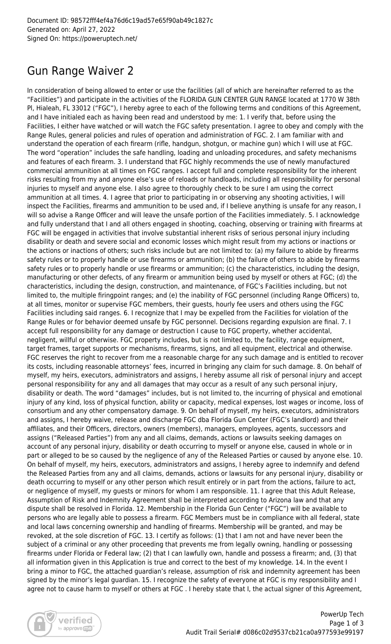## Gun Range Waiver 2

In consideration of being allowed to enter or use the facilities (all of which are hereinafter referred to as the "Facilities") and participate in the activities of the FLORIDA GUN CENTER GUN RANGE located at 1770 W 38th Pl, Hialeah, FL 33012 ("FGC"), I hereby agree to each of the following terms and conditions of this Agreement, and I have initialed each as having been read and understood by me: 1. I verify that, before using the Facilities, I either have watched or will watch the FGC safety presentation. I agree to obey and comply with the Range Rules, general policies and rules of operation and administration of FGC. 2. I am familiar with and understand the operation of each firearm (rifle, handgun, shotgun, or machine gun) which I will use at FGC. The word "operation" includes the safe handling, loading and unloading procedures, and safety mechanisms and features of each firearm. 3. I understand that FGC highly recommends the use of newly manufactured commercial ammunition at all times on FGC ranges. I accept full and complete responsibility for the inherent risks resulting from my and anyone else's use of reloads or handloads, including all responsibility for personal injuries to myself and anyone else. I also agree to thoroughly check to be sure I am using the correct ammunition at all times. 4. I agree that prior to participating in or observing any shooting activities, I will inspect the Facilities, firearms and ammunition to be used and, if I believe anything is unsafe for any reason, I will so advise a Range Officer and will leave the unsafe portion of the Facilities immediately. 5. I acknowledge and fully understand that I and all others engaged in shooting, coaching, observing or training with firearms at FGC will be engaged in activities that involve substantial inherent risks of serious personal injury including disability or death and severe social and economic losses which might result from my actions or inactions or the actions or inactions of others; such risks include but are not limited to: (a) my failure to abide by firearms safety rules or to properly handle or use firearms or ammunition; (b) the failure of others to abide by firearms safety rules or to properly handle or use firearms or ammunition; (c) the characteristics, including the design, manufacturing or other defects, of any firearm or ammunition being used by myself or others at FGC; (d) the characteristics, including the design, construction, and maintenance, of FGC's Facilities including, but not limited to, the multiple firingpoint ranges; and (e) the inability of FGC personnel (including Range Officers) to, at all times, monitor or supervise FGC members, their guests, hourly fee users and others using the FGC Facilities including said ranges. 6. I recognize that I may be expelled from the Facilities for violation of the Range Rules or for behavior deemed unsafe by FGC personnel. Decisions regarding expulsion are final. 7. I accept full responsibility for any damage or destruction I cause to FGC property, whether accidental, negligent, willful or otherwise. FGC property includes, but is not limited to, the facility, range equipment, target frames, target supports or mechanisms, firearms, signs, and all equipment, electrical and otherwise. FGC reserves the right to recover from me a reasonable charge for any such damage and is entitled to recover its costs, including reasonable attorneys' fees, incurred in bringing any claim for such damage. 8. On behalf of myself, my heirs, executors, administrators and assigns, I hereby assume all risk of personal injury and accept personal responsibility for any and all damages that may occur as a result of any such personal injury, disability or death. The word "damages" includes, but is not limited to, the incurring of physical and emotional injury of any kind, loss of physical function, ability or capacity, medical expenses, lost wages or income, loss of consortium and any other compensatory damage. 9. On behalf of myself, my heirs, executors, administrators and assigns, I hereby waive, release and discharge FGC dba Florida Gun Center (FGC's landlord) and their affiliates, and their Officers, directors, owners (members), managers, employees, agents, successors and assigns ("Released Parties") from any and all claims, demands, actions or lawsuits seeking damages on account of any personal injury, disability or death occurring to myself or anyone else, caused in whole or in part or alleged to be so caused by the negligence of any of the Released Parties or caused by anyone else. 10. On behalf of myself, my heirs, executors, administrators and assigns, I hereby agree to indemnify and defend the Released Parties from any and all claims, demands, actions or lawsuits for any personal injury, disability or death occurring to myself or any other person which result entirely or in part from the actions, failure to act, or negligence of myself, my guests or minors for whom I am responsible. 11. I agree that this Adult Release, Assumption of Risk and Indemnity Agreement shall be interpreted according to Arizona law and that any dispute shall be resolved in Florida. 12. Membership in the Florida Gun Center ("FGC") will be available to persons who are legally able to possess a firearm. FGC Members must be in compliance with all federal, state and local laws concerning ownership and handling of firearms. Membership will be granted, and may be revoked, at the sole discretion of FGC. 13. I certify as follows: (1) that I am not and have never been the subject of a criminal or any other proceeding that prevents me from legally owning, handling or possessing firearms under Florida or Federal law; (2) that I can lawfully own, handle and possess a firearm; and, (3) that all information given in this Application is true and correct to the best of my knowledge. 14. In the event I bring a minor to FGC, the attached guardian's release, assumption of risk and indemnity agreement has been signed by the minor's legal guardian. 15. I recognize the safety of everyone at FGC is my responsibility and I agree not to cause harm to myself or others at FGC . I hereby state that I, the actual signer of this Agreement,

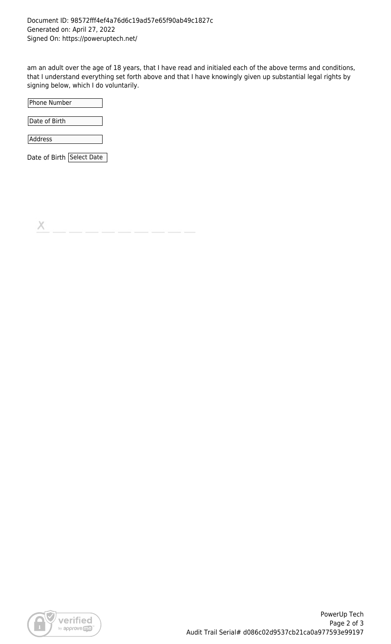am an adult over the age of 18 years, that I have read and initialed each of the above terms and conditions, that I understand everything set forth above and that I have knowingly given up substantial legal rights by signing below, which I do voluntarily.

| Phone Number              |  |
|---------------------------|--|
|                           |  |
| Date of Birth             |  |
| Address                   |  |
| Date of Birth Select Date |  |

Х